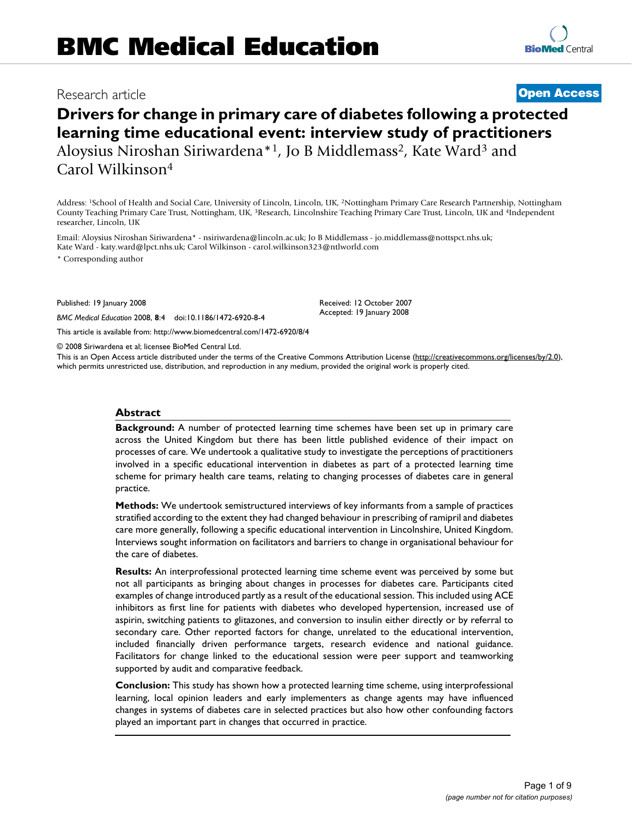# **Drivers for change in primary care of diabetes following a protected learning time educational event: interview study of practitioners** Aloysius Niroshan Siriwardena\*1, Jo B Middlemass<sup>2</sup>, Kate Ward<sup>3</sup> and Carol Wilkinson4

Address: 1School of Health and Social Care, University of Lincoln, Lincoln, UK, 2Nottingham Primary Care Research Partnership, Nottingham County Teaching Primary Care Trust, Nottingham, UK, 3Research, Lincolnshire Teaching Primary Care Trust, Lincoln, UK and 4Independent researcher, Lincoln, UK

Email: Aloysius Niroshan Siriwardena\* - nsiriwardena@lincoln.ac.uk; Jo B Middlemass - jo.middlemass@nottspct.nhs.uk; Kate Ward - katy.ward@lpct.nhs.uk; Carol Wilkinson - carol.wilkinson323@ntlworld.com

\* Corresponding author

Published: 19 January 2008

*BMC Medical Education* 2008, **8**:4 doi:10.1186/1472-6920-8-4

[This article is available from: http://www.biomedcentral.com/1472-6920/8/4](http://www.biomedcentral.com/1472-6920/8/4)

© 2008 Siriwardena et al; licensee BioMed Central Ltd.

This is an Open Access article distributed under the terms of the Creative Commons Attribution License [\(http://creativecommons.org/licenses/by/2.0\)](http://creativecommons.org/licenses/by/2.0), which permits unrestricted use, distribution, and reproduction in any medium, provided the original work is properly cited.

#### **Abstract**

**Background:** A number of protected learning time schemes have been set up in primary care across the United Kingdom but there has been little published evidence of their impact on processes of care. We undertook a qualitative study to investigate the perceptions of practitioners involved in a specific educational intervention in diabetes as part of a protected learning time scheme for primary health care teams, relating to changing processes of diabetes care in general practice.

**Methods:** We undertook semistructured interviews of key informants from a sample of practices stratified according to the extent they had changed behaviour in prescribing of ramipril and diabetes care more generally, following a specific educational intervention in Lincolnshire, United Kingdom. Interviews sought information on facilitators and barriers to change in organisational behaviour for the care of diabetes.

**Results:** An interprofessional protected learning time scheme event was perceived by some but not all participants as bringing about changes in processes for diabetes care. Participants cited examples of change introduced partly as a result of the educational session. This included using ACE inhibitors as first line for patients with diabetes who developed hypertension, increased use of aspirin, switching patients to glitazones, and conversion to insulin either directly or by referral to secondary care. Other reported factors for change, unrelated to the educational intervention, included financially driven performance targets, research evidence and national guidance. Facilitators for change linked to the educational session were peer support and teamworking supported by audit and comparative feedback.

**Conclusion:** This study has shown how a protected learning time scheme, using interprofessional learning, local opinion leaders and early implementers as change agents may have influenced changes in systems of diabetes care in selected practices but also how other confounding factors played an important part in changes that occurred in practice.

## Research article **[Open Access](http://www.biomedcentral.com/info/about/charter/)**

Received: 12 October 2007 Accepted: 19 January 2008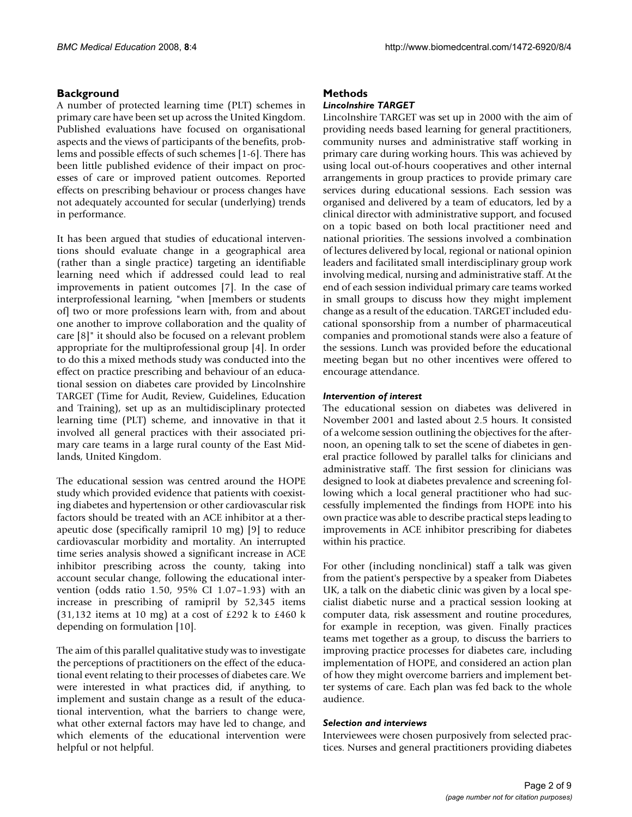## **Background**

A number of protected learning time (PLT) schemes in primary care have been set up across the United Kingdom. Published evaluations have focused on organisational aspects and the views of participants of the benefits, problems and possible effects of such schemes [1-6]. There has been little published evidence of their impact on processes of care or improved patient outcomes. Reported effects on prescribing behaviour or process changes have not adequately accounted for secular (underlying) trends in performance.

It has been argued that studies of educational interventions should evaluate change in a geographical area (rather than a single practice) targeting an identifiable learning need which if addressed could lead to real improvements in patient outcomes [7]. In the case of interprofessional learning, "when [members or students of] two or more professions learn with, from and about one another to improve collaboration and the quality of care [8]" it should also be focused on a relevant problem appropriate for the multiprofessional group [4]. In order to do this a mixed methods study was conducted into the effect on practice prescribing and behaviour of an educational session on diabetes care provided by Lincolnshire TARGET (Time for Audit, Review, Guidelines, Education and Training), set up as an multidisciplinary protected learning time (PLT) scheme, and innovative in that it involved all general practices with their associated primary care teams in a large rural county of the East Midlands, United Kingdom.

The educational session was centred around the HOPE study which provided evidence that patients with coexisting diabetes and hypertension or other cardiovascular risk factors should be treated with an ACE inhibitor at a therapeutic dose (specifically ramipril 10 mg) [9] to reduce cardiovascular morbidity and mortality. An interrupted time series analysis showed a significant increase in ACE inhibitor prescribing across the county, taking into account secular change, following the educational intervention (odds ratio 1.50, 95% CI 1.07–1.93) with an increase in prescribing of ramipril by 52,345 items  $(31,132$  items at 10 mg) at a cost of £292 k to £460 k depending on formulation [10].

The aim of this parallel qualitative study was to investigate the perceptions of practitioners on the effect of the educational event relating to their processes of diabetes care. We were interested in what practices did, if anything, to implement and sustain change as a result of the educational intervention, what the barriers to change were, what other external factors may have led to change, and which elements of the educational intervention were helpful or not helpful.

## **Methods**

## *Lincolnshire TARGET*

Lincolnshire TARGET was set up in 2000 with the aim of providing needs based learning for general practitioners, community nurses and administrative staff working in primary care during working hours. This was achieved by using local out-of-hours cooperatives and other internal arrangements in group practices to provide primary care services during educational sessions. Each session was organised and delivered by a team of educators, led by a clinical director with administrative support, and focused on a topic based on both local practitioner need and national priorities. The sessions involved a combination of lectures delivered by local, regional or national opinion leaders and facilitated small interdisciplinary group work involving medical, nursing and administrative staff. At the end of each session individual primary care teams worked in small groups to discuss how they might implement change as a result of the education. TARGET included educational sponsorship from a number of pharmaceutical companies and promotional stands were also a feature of the sessions. Lunch was provided before the educational meeting began but no other incentives were offered to encourage attendance.

### *Intervention of interest*

The educational session on diabetes was delivered in November 2001 and lasted about 2.5 hours. It consisted of a welcome session outlining the objectives for the afternoon, an opening talk to set the scene of diabetes in general practice followed by parallel talks for clinicians and administrative staff. The first session for clinicians was designed to look at diabetes prevalence and screening following which a local general practitioner who had successfully implemented the findings from HOPE into his own practice was able to describe practical steps leading to improvements in ACE inhibitor prescribing for diabetes within his practice.

For other (including nonclinical) staff a talk was given from the patient's perspective by a speaker from Diabetes UK, a talk on the diabetic clinic was given by a local specialist diabetic nurse and a practical session looking at computer data, risk assessment and routine procedures, for example in reception, was given. Finally practices teams met together as a group, to discuss the barriers to improving practice processes for diabetes care, including implementation of HOPE, and considered an action plan of how they might overcome barriers and implement better systems of care. Each plan was fed back to the whole audience.

### *Selection and interviews*

Interviewees were chosen purposively from selected practices. Nurses and general practitioners providing diabetes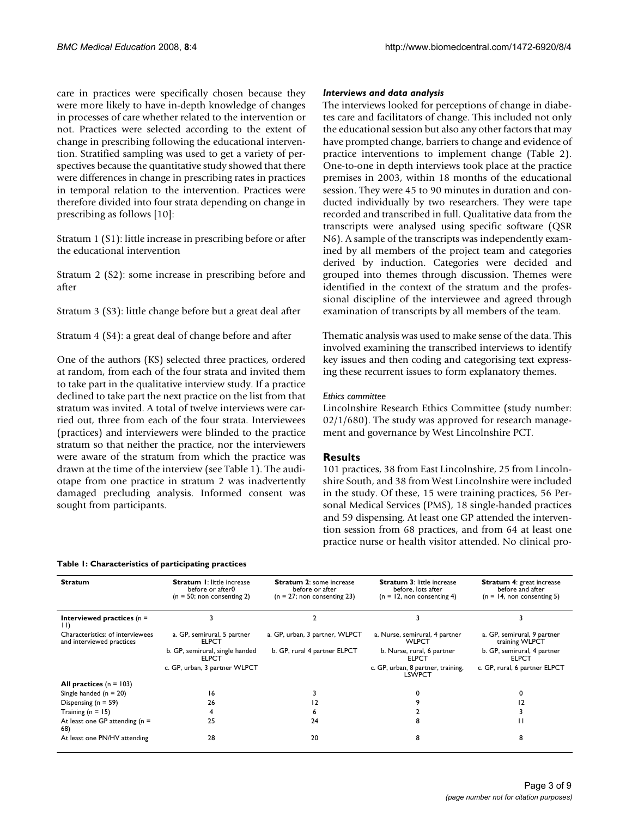care in practices were specifically chosen because they were more likely to have in-depth knowledge of changes in processes of care whether related to the intervention or not. Practices were selected according to the extent of change in prescribing following the educational intervention. Stratified sampling was used to get a variety of perspectives because the quantitative study showed that there were differences in change in prescribing rates in practices in temporal relation to the intervention. Practices were therefore divided into four strata depending on change in prescribing as follows [10]:

Stratum 1 (S1): little increase in prescribing before or after the educational intervention

Stratum 2 (S2): some increase in prescribing before and after

Stratum 3 (S3): little change before but a great deal after

Stratum 4 (S4): a great deal of change before and after

One of the authors (KS) selected three practices, ordered at random, from each of the four strata and invited them to take part in the qualitative interview study. If a practice declined to take part the next practice on the list from that stratum was invited. A total of twelve interviews were carried out, three from each of the four strata. Interviewees (practices) and interviewers were blinded to the practice stratum so that neither the practice, nor the interviewers were aware of the stratum from which the practice was drawn at the time of the interview (see Table 1). The audiotape from one practice in stratum 2 was inadvertently damaged precluding analysis. Informed consent was sought from participants.

#### **Table 1: Characteristics of participating practices**

## *Interviews and data analysis*

The interviews looked for perceptions of change in diabetes care and facilitators of change. This included not only the educational session but also any other factors that may have prompted change, barriers to change and evidence of practice interventions to implement change (Table 2). One-to-one in depth interviews took place at the practice premises in 2003, within 18 months of the educational session. They were 45 to 90 minutes in duration and conducted individually by two researchers. They were tape recorded and transcribed in full. Qualitative data from the transcripts were analysed using specific software (QSR N6). A sample of the transcripts was independently examined by all members of the project team and categories derived by induction. Categories were decided and grouped into themes through discussion. Themes were identified in the context of the stratum and the professional discipline of the interviewee and agreed through examination of transcripts by all members of the team.

Thematic analysis was used to make sense of the data. This involved examining the transcribed interviews to identify key issues and then coding and categorising text expressing these recurrent issues to form explanatory themes.

#### *Ethics committee*

Lincolnshire Research Ethics Committee (study number: 02/1/680). The study was approved for research management and governance by West Lincolnshire PCT.

#### **Results**

101 practices, 38 from East Lincolnshire, 25 from Lincolnshire South, and 38 from West Lincolnshire were included in the study. Of these, 15 were training practices, 56 Personal Medical Services (PMS), 18 single-handed practices and 59 dispensing. At least one GP attended the intervention session from 68 practices, and from 64 at least one practice nurse or health visitor attended. No clinical pro-

| <b>Stratum</b>                                                | <b>Stratum I: little increase</b><br>before or after0<br>$(n = 50;$ non consenting 2) | <b>Stratum 2: some increase</b><br>before or after<br>$(n = 27;$ non consenting 23) | <b>Stratum 3: little increase</b><br>before, lots after<br>$(n = 12, non consenting 4)$ | <b>Stratum 4: great increase</b><br>before and after<br>$(n = 14, \text{ non consenting } 5)$ |
|---------------------------------------------------------------|---------------------------------------------------------------------------------------|-------------------------------------------------------------------------------------|-----------------------------------------------------------------------------------------|-----------------------------------------------------------------------------------------------|
| Interviewed practices ( $n =$<br>$\Box$                       |                                                                                       |                                                                                     |                                                                                         |                                                                                               |
| Characteristics: of interviewees<br>and interviewed practices | a. GP, semirural, 5 partner<br><b>ELPCT</b>                                           | a. GP, urban, 3 partner, WLPCT                                                      | a. Nurse, semirural, 4 partner<br><b>WLPCT</b>                                          | a. GP, semirural, 9 partner<br>training WLPCT                                                 |
|                                                               | b. GP, semirural, single handed<br><b>ELPCT</b>                                       | b. GP, rural 4 partner ELPCT                                                        | b. Nurse, rural, 6 partner<br><b>ELPCT</b>                                              | b. GP, semirural, 4 partner<br><b>ELPCT</b>                                                   |
|                                                               | c. GP, urban, 3 partner WLPCT                                                         |                                                                                     | c. GP, urban, 8 partner, training,<br><b>LSWPCT</b>                                     | c. GP, rural, 6 partner ELPCT                                                                 |
| All practices $(n = 103)$                                     |                                                                                       |                                                                                     |                                                                                         |                                                                                               |
| Single handed $(n = 20)$                                      | 16                                                                                    |                                                                                     |                                                                                         |                                                                                               |
| Dispensing ( $n = 59$ )                                       | 26                                                                                    |                                                                                     |                                                                                         |                                                                                               |
| Training $(n = 15)$                                           |                                                                                       | ь                                                                                   |                                                                                         |                                                                                               |
| At least one GP attending ( $n =$<br>68)                      | 25                                                                                    | 24                                                                                  | 8                                                                                       | ш                                                                                             |
| At least one PN/HV attending                                  | 28                                                                                    | 20                                                                                  | 8                                                                                       | 8                                                                                             |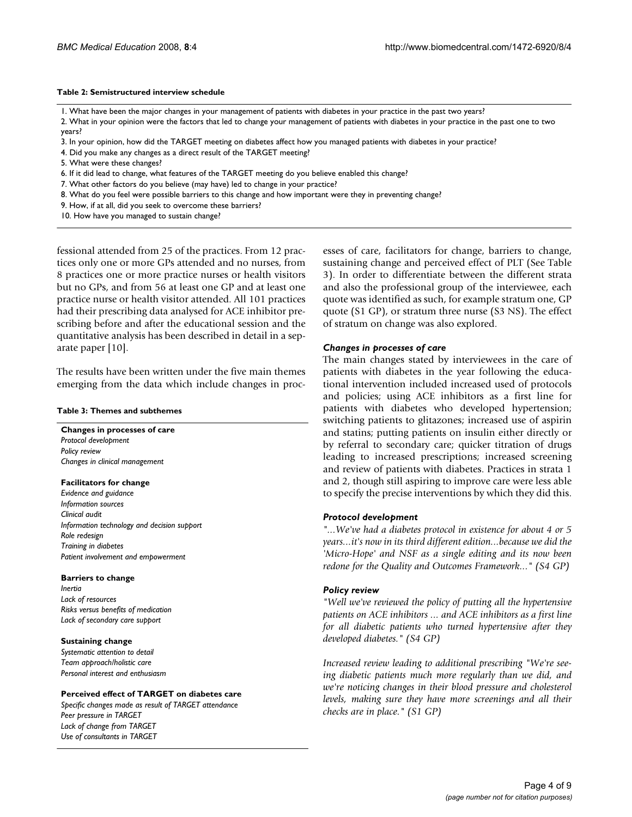#### **Table 2: Semistructured interview schedule**

1. What have been the major changes in your management of patients with diabetes in your practice in the past two years? 2. What in your opinion were the factors that led to change your management of patients with diabetes in your practice in the past one to two

years?

3. In your opinion, how did the TARGET meeting on diabetes affect how you managed patients with diabetes in your practice?

4. Did you make any changes as a direct result of the TARGET meeting?

5. What were these changes?

6. If it did lead to change, what features of the TARGET meeting do you believe enabled this change?

7. What other factors do you believe (may have) led to change in your practice?

- 8. What do you feel were possible barriers to this change and how important were they in preventing change?
- 9. How, if at all, did you seek to overcome these barriers?

10. How have you managed to sustain change?

fessional attended from 25 of the practices. From 12 practices only one or more GPs attended and no nurses, from 8 practices one or more practice nurses or health visitors but no GPs, and from 56 at least one GP and at least one practice nurse or health visitor attended. All 101 practices had their prescribing data analysed for ACE inhibitor prescribing before and after the educational session and the quantitative analysis has been described in detail in a separate paper [10].

The results have been written under the five main themes emerging from the data which include changes in proc-

#### **Table 3: Themes and subthemes**

## **Changes in processes of care**

*Protocol development Policy review Changes in clinical management*

#### **Facilitators for change**

*Evidence and guidance Information sources Clinical audit Information technology and decision support Role redesign Training in diabetes Patient involvement and empowerment*

#### **Barriers to change**

*Inertia Lack of resources Risks versus benefits of medication Lack of secondary care support*

#### **Sustaining change**

*Systematic attention to detail Team approach/holistic care Personal interest and enthusiasm*

#### **Perceived effect of TARGET on diabetes care**

*Specific changes made as result of TARGET attendance Peer pressure in TARGET Lack of change from TARGET Use of consultants in TARGET*

esses of care, facilitators for change, barriers to change, sustaining change and perceived effect of PLT (See Table 3). In order to differentiate between the different strata and also the professional group of the interviewee, each quote was identified as such, for example stratum one, GP quote (S1 GP), or stratum three nurse (S3 NS). The effect of stratum on change was also explored.

#### *Changes in processes of care*

The main changes stated by interviewees in the care of patients with diabetes in the year following the educational intervention included increased used of protocols and policies; using ACE inhibitors as a first line for patients with diabetes who developed hypertension; switching patients to glitazones; increased use of aspirin and statins; putting patients on insulin either directly or by referral to secondary care; quicker titration of drugs leading to increased prescriptions; increased screening and review of patients with diabetes. Practices in strata 1 and 2, though still aspiring to improve care were less able to specify the precise interventions by which they did this.

#### *Protocol development*

*"...We've had a diabetes protocol in existence for about 4 or 5 years...it's now in its third different edition...because we did the 'Micro-Hope' and NSF as a single editing and its now been redone for the Quality and Outcomes Framework..." (S4 GP)*

#### *Policy review*

*"Well we've reviewed the policy of putting all the hypertensive patients on ACE inhibitors ... and ACE inhibitors as a first line for all diabetic patients who turned hypertensive after they developed diabetes." (S4 GP)*

*Increased review leading to additional prescribing "We're seeing diabetic patients much more regularly than we did, and we're noticing changes in their blood pressure and cholesterol levels, making sure they have more screenings and all their checks are in place." (S1 GP)*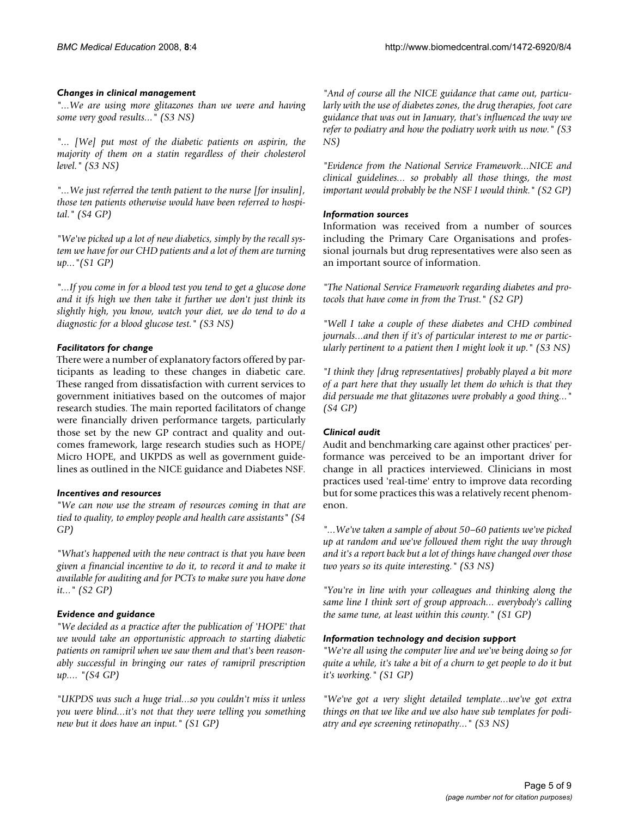#### *Changes in clinical management*

*"...We are using more glitazones than we were and having some very good results..." (S3 NS)*

*"... [We] put most of the diabetic patients on aspirin, the majority of them on a statin regardless of their cholesterol level." (S3 NS)*

*"...We just referred the tenth patient to the nurse [for insulin], those ten patients otherwise would have been referred to hospital." (S4 GP)*

*"We've picked up a lot of new diabetics, simply by the recall system we have for our CHD patients and a lot of them are turning up..."(S1 GP)*

*"...If you come in for a blood test you tend to get a glucose done and it ifs high we then take it further we don't just think its slightly high, you know, watch your diet, we do tend to do a diagnostic for a blood glucose test." (S3 NS)*

### *Facilitators for change*

There were a number of explanatory factors offered by participants as leading to these changes in diabetic care. These ranged from dissatisfaction with current services to government initiatives based on the outcomes of major research studies. The main reported facilitators of change were financially driven performance targets, particularly those set by the new GP contract and quality and outcomes framework, large research studies such as HOPE/ Micro HOPE, and UKPDS as well as government guidelines as outlined in the NICE guidance and Diabetes NSF.

### *Incentives and resources*

*"We can now use the stream of resources coming in that are tied to quality, to employ people and health care assistants" (S4 GP)*

*"What's happened with the new contract is that you have been given a financial incentive to do it, to record it and to make it available for auditing and for PCTs to make sure you have done it..." (S2 GP)*

### *Evidence and guidance*

*"We decided as a practice after the publication of 'HOPE' that we would take an opportunistic approach to starting diabetic patients on ramipril when we saw them and that's been reasonably successful in bringing our rates of ramipril prescription up.... "(S4 GP)*

*"UKPDS was such a huge trial...so you couldn't miss it unless you were blind...it's not that they were telling you something new but it does have an input." (S1 GP)*

*"And of course all the NICE guidance that came out, particularly with the use of diabetes zones, the drug therapies, foot care guidance that was out in January, that's influenced the way we refer to podiatry and how the podiatry work with us now." (S3 NS)*

*"Evidence from the National Service Framework...NICE and clinical guidelines... so probably all those things, the most important would probably be the NSF I would think." (S2 GP)*

### *Information sources*

Information was received from a number of sources including the Primary Care Organisations and professional journals but drug representatives were also seen as an important source of information.

*"The National Service Framework regarding diabetes and protocols that have come in from the Trust." (S2 GP)*

*"Well I take a couple of these diabetes and CHD combined journals...and then if it's of particular interest to me or particularly pertinent to a patient then I might look it up." (S3 NS)*

*"I think they [drug representatives] probably played a bit more of a part here that they usually let them do which is that they did persuade me that glitazones were probably a good thing..." (S4 GP)*

### *Clinical audit*

Audit and benchmarking care against other practices' performance was perceived to be an important driver for change in all practices interviewed. Clinicians in most practices used 'real-time' entry to improve data recording but for some practices this was a relatively recent phenomenon.

*"...We've taken a sample of about 50–60 patients we've picked up at random and we've followed them right the way through and it's a report back but a lot of things have changed over those two years so its quite interesting." (S3 NS)*

*"You're in line with your colleagues and thinking along the same line I think sort of group approach... everybody's calling the same tune, at least within this county." (S1 GP)*

### *Information technology and decision support*

*"We're all using the computer live and we've being doing so for quite a while, it's take a bit of a churn to get people to do it but it's working." (S1 GP)*

*"We've got a very slight detailed template...we've got extra things on that we like and we also have sub templates for podiatry and eye screening retinopathy..." (S3 NS)*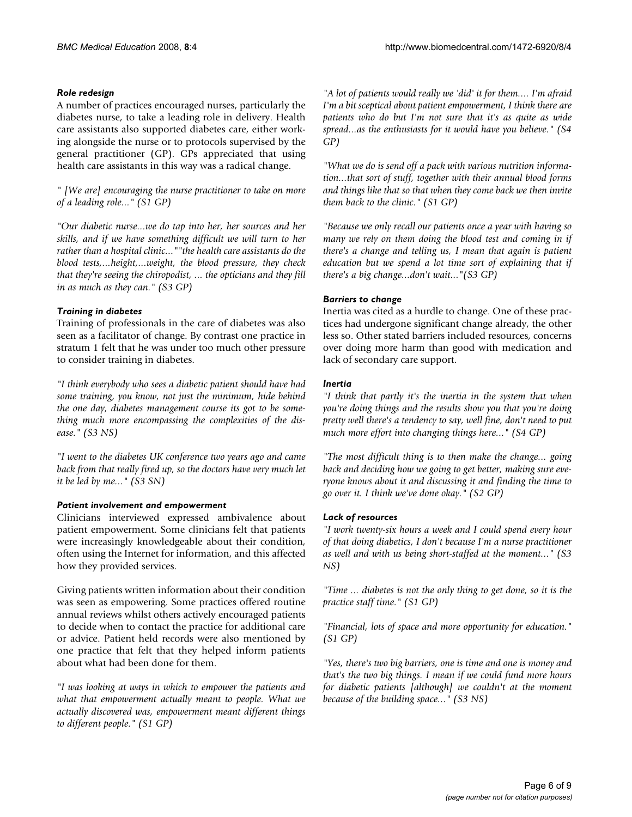### *Role redesign*

A number of practices encouraged nurses, particularly the diabetes nurse, to take a leading role in delivery. Health care assistants also supported diabetes care, either working alongside the nurse or to protocols supervised by the general practitioner (GP). GPs appreciated that using health care assistants in this way was a radical change.

*" [We are] encouraging the nurse practitioner to take on more of a leading role..." (S1 GP)*

*"Our diabetic nurse...we do tap into her, her sources and her skills, and if we have something difficult we will turn to her rather than a hospital clinic...""the health care assistants do the blood tests,...height,...weight, the blood pressure, they check that they're seeing the chiropodist, ... the opticians and they fill in as much as they can." (S3 GP)*

### *Training in diabetes*

Training of professionals in the care of diabetes was also seen as a facilitator of change. By contrast one practice in stratum 1 felt that he was under too much other pressure to consider training in diabetes.

*"I think everybody who sees a diabetic patient should have had some training, you know, not just the minimum, hide behind the one day, diabetes management course its got to be something much more encompassing the complexities of the disease." (S3 NS)*

*"I went to the diabetes UK conference two years ago and came back from that really fired up, so the doctors have very much let it be led by me..." (S3 SN)*

### *Patient involvement and empowerment*

Clinicians interviewed expressed ambivalence about patient empowerment. Some clinicians felt that patients were increasingly knowledgeable about their condition, often using the Internet for information, and this affected how they provided services.

Giving patients written information about their condition was seen as empowering. Some practices offered routine annual reviews whilst others actively encouraged patients to decide when to contact the practice for additional care or advice. Patient held records were also mentioned by one practice that felt that they helped inform patients about what had been done for them.

*"I was looking at ways in which to empower the patients and what that empowerment actually meant to people. What we actually discovered was, empowerment meant different things to different people." (S1 GP)*

*"A lot of patients would really we 'did' it for them.... I'm afraid I'm a bit sceptical about patient empowerment, I think there are patients who do but I'm not sure that it's as quite as wide spread...as the enthusiasts for it would have you believe." (S4 GP)*

*"What we do is send off a pack with various nutrition information...that sort of stuff, together with their annual blood forms and things like that so that when they come back we then invite them back to the clinic." (S1 GP)*

*"Because we only recall our patients once a year with having so many we rely on them doing the blood test and coming in if there's a change and telling us, I mean that again is patient education but we spend a lot time sort of explaining that if there's a big change...don't wait..."(S3 GP)*

### *Barriers to change*

Inertia was cited as a hurdle to change. One of these practices had undergone significant change already, the other less so. Other stated barriers included resources, concerns over doing more harm than good with medication and lack of secondary care support.

#### *Inertia*

*"I think that partly it's the inertia in the system that when you're doing things and the results show you that you're doing pretty well there's a tendency to say, well fine, don't need to put much more effort into changing things here..." (S4 GP)*

*"The most difficult thing is to then make the change... going back and deciding how we going to get better, making sure everyone knows about it and discussing it and finding the time to go over it. I think we've done okay." (S2 GP)*

### *Lack of resources*

*"I work twenty-six hours a week and I could spend every hour of that doing diabetics, I don't because I'm a nurse practitioner as well and with us being short-staffed at the moment..." (S3 NS)*

*"Time ... diabetes is not the only thing to get done, so it is the practice staff time." (S1 GP)*

*"Financial, lots of space and more opportunity for education." (S1 GP)*

*"Yes, there's two big barriers, one is time and one is money and that's the two big things. I mean if we could fund more hours for diabetic patients [although] we couldn't at the moment because of the building space..." (S3 NS)*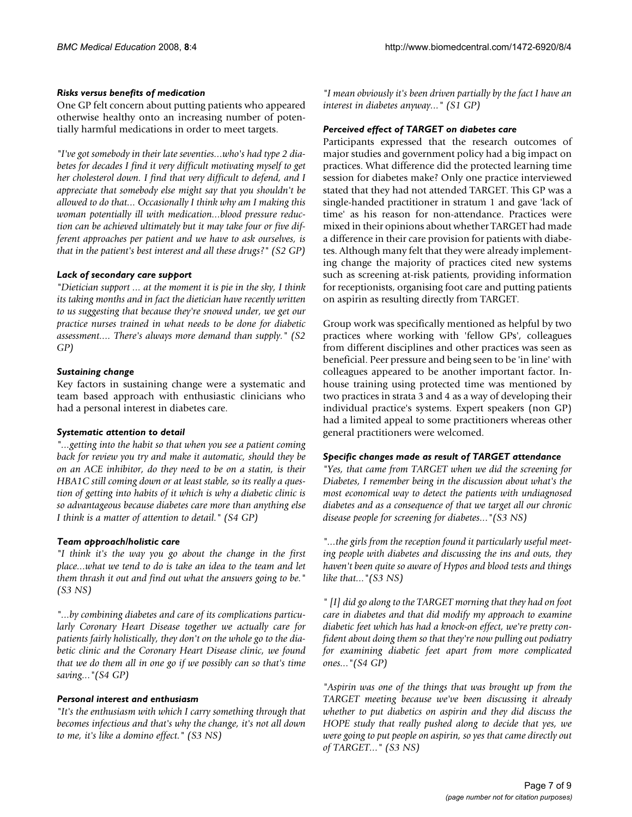#### *Risks versus benefits of medication*

One GP felt concern about putting patients who appeared otherwise healthy onto an increasing number of potentially harmful medications in order to meet targets.

*"I've got somebody in their late seventies...who's had type 2 diabetes for decades I find it very difficult motivating myself to get her cholesterol down. I find that very difficult to defend, and I appreciate that somebody else might say that you shouldn't be allowed to do that... Occasionally I think why am I making this woman potentially ill with medication...blood pressure reduction can be achieved ultimately but it may take four or five different approaches per patient and we have to ask ourselves, is that in the patient's best interest and all these drugs?" (S2 GP)*

#### *Lack of secondary care support*

*"Dietician support ... at the moment it is pie in the sky, I think its taking months and in fact the dietician have recently written to us suggesting that because they're snowed under, we get our practice nurses trained in what needs to be done for diabetic assessment.... There's always more demand than supply." (S2 GP)*

#### *Sustaining change*

Key factors in sustaining change were a systematic and team based approach with enthusiastic clinicians who had a personal interest in diabetes care.

### *Systematic attention to detail*

*"...getting into the habit so that when you see a patient coming back for review you try and make it automatic, should they be on an ACE inhibitor, do they need to be on a statin, is their HBA1C still coming down or at least stable, so its really a question of getting into habits of it which is why a diabetic clinic is so advantageous because diabetes care more than anything else I think is a matter of attention to detail." (S4 GP)*

### *Team approach/holistic care*

*"I think it's the way you go about the change in the first place...what we tend to do is take an idea to the team and let them thrash it out and find out what the answers going to be." (S3 NS)*

*"...by combining diabetes and care of its complications particularly Coronary Heart Disease together we actually care for patients fairly holistically, they don't on the whole go to the diabetic clinic and the Coronary Heart Disease clinic, we found that we do them all in one go if we possibly can so that's time saving..."(S4 GP)*

### *Personal interest and enthusiasm*

*"It's the enthusiasm with which I carry something through that becomes infectious and that's why the change, it's not all down to me, it's like a domino effect." (S3 NS)*

*"I mean obviously it's been driven partially by the fact I have an interest in diabetes anyway..." (S1 GP)*

#### *Perceived effect of TARGET on diabetes care*

Participants expressed that the research outcomes of major studies and government policy had a big impact on practices. What difference did the protected learning time session for diabetes make? Only one practice interviewed stated that they had not attended TARGET. This GP was a single-handed practitioner in stratum 1 and gave 'lack of time' as his reason for non-attendance. Practices were mixed in their opinions about whether TARGET had made a difference in their care provision for patients with diabetes. Although many felt that they were already implementing change the majority of practices cited new systems such as screening at-risk patients, providing information for receptionists, organising foot care and putting patients on aspirin as resulting directly from TARGET.

Group work was specifically mentioned as helpful by two practices where working with 'fellow GPs', colleagues from different disciplines and other practices was seen as beneficial. Peer pressure and being seen to be 'in line' with colleagues appeared to be another important factor. Inhouse training using protected time was mentioned by two practices in strata 3 and 4 as a way of developing their individual practice's systems. Expert speakers (non GP) had a limited appeal to some practitioners whereas other general practitioners were welcomed.

### *Specific changes made as result of TARGET attendance*

*"Yes, that came from TARGET when we did the screening for Diabetes, I remember being in the discussion about what's the most economical way to detect the patients with undiagnosed diabetes and as a consequence of that we target all our chronic disease people for screening for diabetes..."(S3 NS)*

*"...the girls from the reception found it particularly useful meeting people with diabetes and discussing the ins and outs, they haven't been quite so aware of Hypos and blood tests and things like that..."(S3 NS)*

*" [I] did go along to the TARGET morning that they had on foot care in diabetes and that did modify my approach to examine diabetic feet which has had a knock-on effect, we're pretty confident about doing them so that they're now pulling out podiatry for examining diabetic feet apart from more complicated ones..."(S4 GP)*

*"Aspirin was one of the things that was brought up from the TARGET meeting because we've been discussing it already whether to put diabetics on aspirin and they did discuss the HOPE study that really pushed along to decide that yes, we were going to put people on aspirin, so yes that came directly out of TARGET..." (S3 NS)*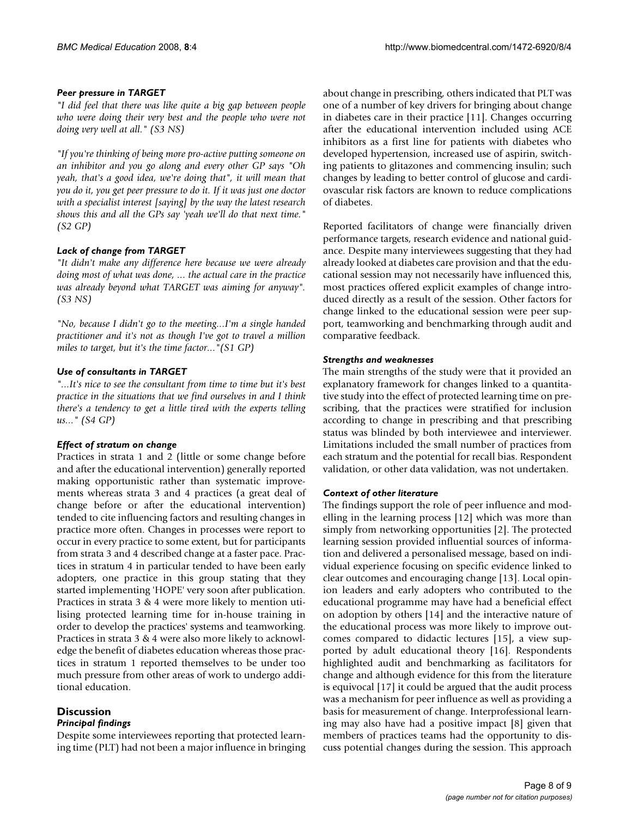## *Peer pressure in TARGET*

*"I did feel that there was like quite a big gap between people who were doing their very best and the people who were not doing very well at all." (S3 NS)*

*"If you're thinking of being more pro-active putting someone on an inhibitor and you go along and every other GP says "Oh yeah, that's a good idea, we're doing that", it will mean that you do it, you get peer pressure to do it. If it was just one doctor with a specialist interest [saying] by the way the latest research shows this and all the GPs say 'yeah we'll do that next time." (S2 GP)*

## *Lack of change from TARGET*

*"It didn't make any difference here because we were already doing most of what was done, ... the actual care in the practice was already beyond what TARGET was aiming for anyway". (S3 NS)*

*"No, because I didn't go to the meeting...I'm a single handed practitioner and it's not as though I've got to travel a million miles to target, but it's the time factor..."(S1 GP)*

## *Use of consultants in TARGET*

*"...It's nice to see the consultant from time to time but it's best practice in the situations that we find ourselves in and I think there's a tendency to get a little tired with the experts telling us..." (S4 GP)*

### *Effect of stratum on change*

Practices in strata 1 and 2 (little or some change before and after the educational intervention) generally reported making opportunistic rather than systematic improvements whereas strata 3 and 4 practices (a great deal of change before or after the educational intervention) tended to cite influencing factors and resulting changes in practice more often. Changes in processes were report to occur in every practice to some extent, but for participants from strata 3 and 4 described change at a faster pace. Practices in stratum 4 in particular tended to have been early adopters, one practice in this group stating that they started implementing 'HOPE' very soon after publication. Practices in strata 3 & 4 were more likely to mention utilising protected learning time for in-house training in order to develop the practices' systems and teamworking. Practices in strata 3 & 4 were also more likely to acknowledge the benefit of diabetes education whereas those practices in stratum 1 reported themselves to be under too much pressure from other areas of work to undergo additional education.

#### **Discussion** *Principal findings*

Despite some interviewees reporting that protected learning time (PLT) had not been a major influence in bringing about change in prescribing, others indicated that PLT was one of a number of key drivers for bringing about change in diabetes care in their practice [11]. Changes occurring after the educational intervention included using ACE inhibitors as a first line for patients with diabetes who developed hypertension, increased use of aspirin, switching patients to glitazones and commencing insulin; such changes by leading to better control of glucose and cardiovascular risk factors are known to reduce complications of diabetes.

Reported facilitators of change were financially driven performance targets, research evidence and national guidance. Despite many interviewees suggesting that they had already looked at diabetes care provision and that the educational session may not necessarily have influenced this, most practices offered explicit examples of change introduced directly as a result of the session. Other factors for change linked to the educational session were peer support, teamworking and benchmarking through audit and comparative feedback.

## *Strengths and weaknesses*

The main strengths of the study were that it provided an explanatory framework for changes linked to a quantitative study into the effect of protected learning time on prescribing, that the practices were stratified for inclusion according to change in prescribing and that prescribing status was blinded by both interviewee and interviewer. Limitations included the small number of practices from each stratum and the potential for recall bias. Respondent validation, or other data validation, was not undertaken.

## *Context of other literature*

The findings support the role of peer influence and modelling in the learning process [12] which was more than simply from networking opportunities [2]. The protected learning session provided influential sources of information and delivered a personalised message, based on individual experience focusing on specific evidence linked to clear outcomes and encouraging change [13]. Local opinion leaders and early adopters who contributed to the educational programme may have had a beneficial effect on adoption by others [14] and the interactive nature of the educational process was more likely to improve outcomes compared to didactic lectures [15], a view supported by adult educational theory [16]. Respondents highlighted audit and benchmarking as facilitators for change and although evidence for this from the literature is equivocal [17] it could be argued that the audit process was a mechanism for peer influence as well as providing a basis for measurement of change. Interprofessional learning may also have had a positive impact [8] given that members of practices teams had the opportunity to discuss potential changes during the session. This approach